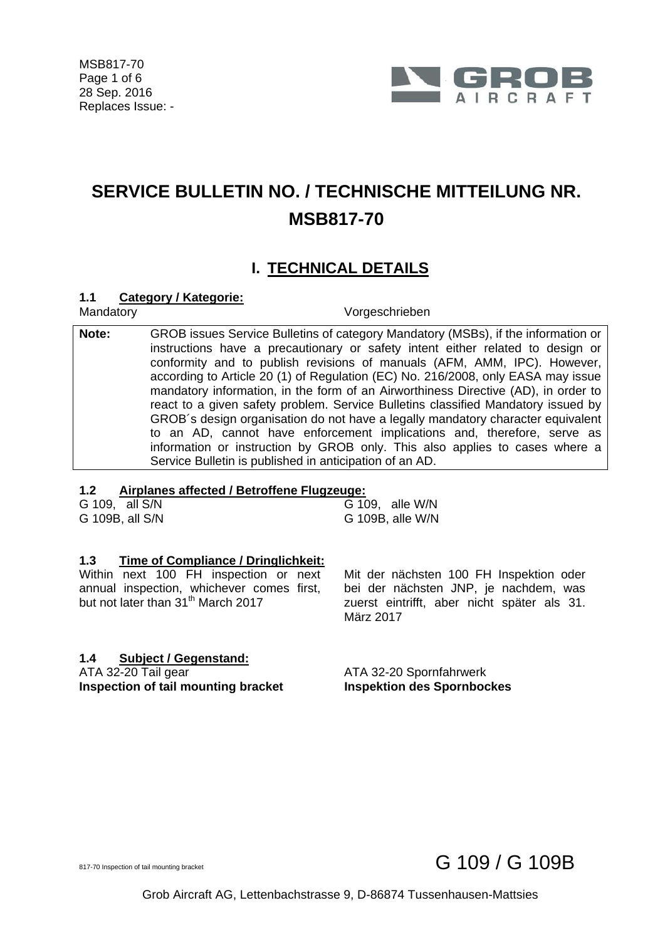

## **SERVICE BULLETIN NO. / TECHNISCHE MITTEILUNG NR. MSB817-70**

### **I. TECHNICAL DETAILS**

#### **1.1 Category / Kategorie:**

Mandatory **Vorgeschrieben** 

**Note:** GROB issues Service Bulletins of category Mandatory (MSBs), if the information or instructions have a precautionary or safety intent either related to design or conformity and to publish revisions of manuals (AFM, AMM, IPC). However, according to Article 20 (1) of Regulation (EC) No. 216/2008, only EASA may issue mandatory information, in the form of an Airworthiness Directive (AD), in order to react to a given safety problem. Service Bulletins classified Mandatory issued by GROB´s design organisation do not have a legally mandatory character equivalent to an AD, cannot have enforcement implications and, therefore, serve as information or instruction by GROB only. This also applies to cases where a Service Bulletin is published in anticipation of an AD.

#### **1.2 Airplanes affected / Betroffene Flugzeuge:**

| G 109, all S/N  |  | G 109, alle W/N  |
|-----------------|--|------------------|
| G 109B, all S/N |  | G 109B, alle W/N |

#### **1.3 Time of Compliance / Dringlichkeit:**

Within next 100 FH inspection or next annual inspection, whichever comes first, but not later than 31<sup>th</sup> March 2017

#### **1.4 Subject / Gegenstand:**

ATA 32-20 Tail gear ATA 32-20 Spornfahrwerk **Inspection of tail mounting bracket limspektion des Spornbockes** 

 Mit der nächsten 100 FH Inspektion oder bei der nächsten JNP, je nachdem, was zuerst eintrifft, aber nicht später als 31. März 2017

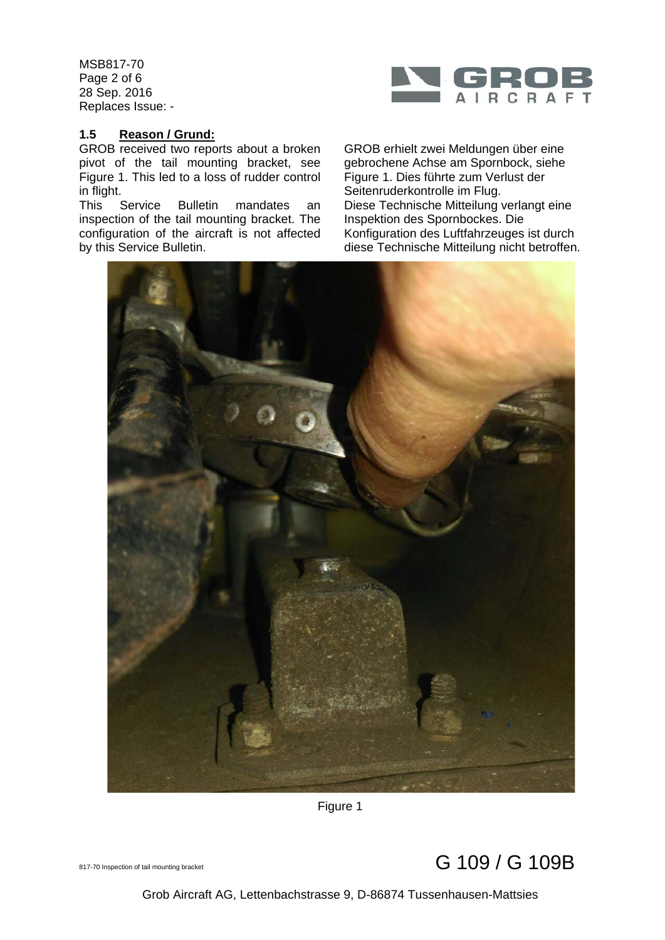MSB817-70 Page 2 of 6 28 Sep. 2016 Replaces Issue: -



#### **1.5 Reason / Grund:**

GROB received two reports about a broken pivot of the tail mounting bracket, see Figure 1. This led to a loss of rudder control in flight.<br>This Service

This Service Bulletin mandates an inspection of the tail mounting bracket. The configuration of the aircraft is not affected by this Service Bulletin.





Figure 1



Grob Aircraft AG, Lettenbachstrasse 9, D-86874 Tussenhausen-Mattsies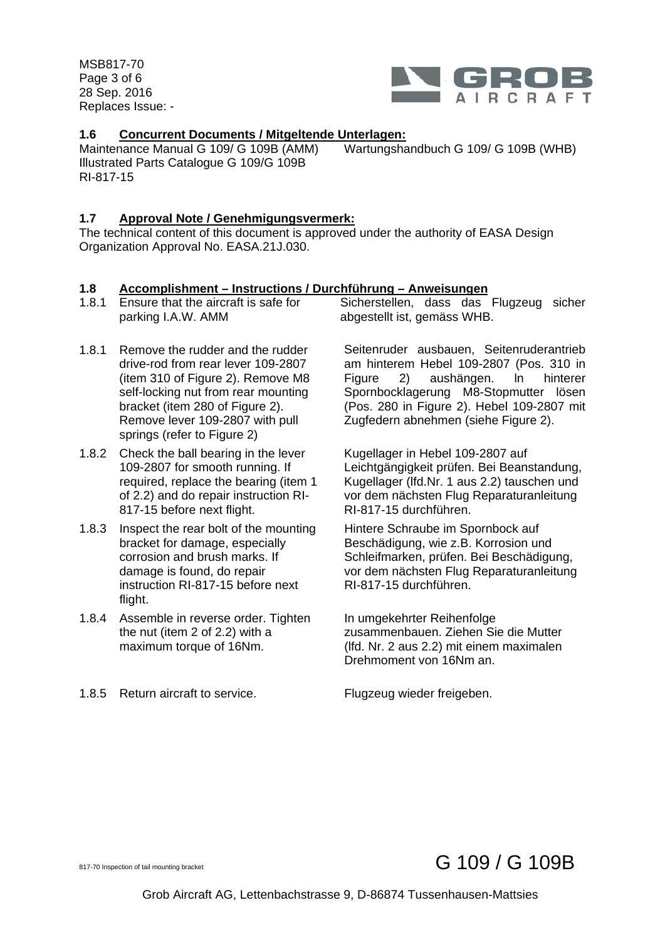MSB817-70 Page 3 of 6 28 Sep. 2016 Replaces Issue: -



#### **1.6 Concurrent Documents / Mitgeltende Unterlagen:**

Maintenance Manual G 109/ G 109B (AMM) Illustrated Parts Catalogue G 109/G 109B Wartungshandbuch G 109/ G 109B (WHB) RI-817-15

#### **1.7 Approval Note / Genehmigungsvermerk:**

The technical content of this document is approved under the authority of EASA Design Organization Approval No. EASA.21J.030.

#### **1.8 Accomplishment – Instructions / Durchführung – Anweisungen**

| 1.8.1 | Ensure that the aircraft is safe for | Sicherstellen, dass das Flugzeug sicher |  |
|-------|--------------------------------------|-----------------------------------------|--|
|       | parking I.A.W. AMM                   | abgestellt ist, gemäss WHB.             |  |

- 1.8.1 Remove the rudder and the rudder drive-rod from rear lever 109-2807 (item 310 of Figure 2). Remove M8 self-locking nut from rear mounting bracket (item 280 of Figure 2). Remove lever 109-2807 with pull springs (refer to Figure 2)
- 1.8.2 Check the ball bearing in the lever 109-2807 for smooth running. If required, replace the bearing (item 1 of 2.2) and do repair instruction RI-817-15 before next flight.
- 1.8.3 Inspect the rear bolt of the mounting bracket for damage, especially corrosion and brush marks. If damage is found, do repair instruction RI-817-15 before next flight.
- 1.8.4 Assemble in reverse order. Tighten the nut (item 2 of 2.2) with a maximum torque of 16Nm.
- 1.8.5 Return aircraft to service. Flugzeug wieder freigeben.

 Seitenruder ausbauen, Seitenruderantrieb am hinterem Hebel 109-2807 (Pos. 310 in Figure 2) aushängen. ln hinterer Spornbocklagerung M8-Stopmutter lösen (Pos. 280 in Figure 2). Hebel 109-2807 mit Zugfedern abnehmen (siehe Figure 2).

 Kugellager in Hebel 109-2807 auf Leichtgängigkeit prüfen. Bei Beanstandung, Kugellager (lfd.Nr. 1 aus 2.2) tauschen und vor dem nächsten Flug Reparaturanleitung RI-817-15 durchführen.

 Hintere Schraube im Spornbock auf Beschädigung, wie z.B. Korrosion und Schleifmarken, prüfen. Bei Beschädigung, vor dem nächsten Flug Reparaturanleitung RI-817-15 durchführen.

 In umgekehrter Reihenfolge zusammenbauen. Ziehen Sie die Mutter (lfd. Nr. 2 aus 2.2) mit einem maximalen Drehmoment von 16Nm an.

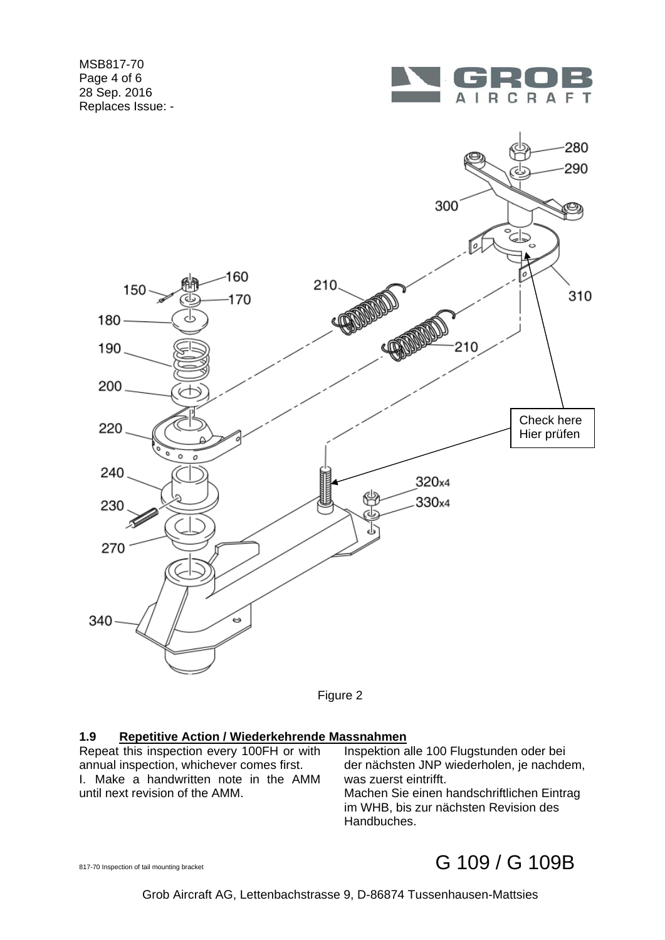MSB817-70 Page 4 of 6 28 Sep. 2016 Replaces Issue: -





Figure 2

#### **1.9 Repetitive Action / Wiederkehrende Massnahmen**

Repeat this inspection every 100FH or with annual inspection, whichever comes first. I. Make a handwritten note in the AMM until next revision of the AMM.

 Inspektion alle 100 Flugstunden oder bei der nächsten JNP wiederholen, je nachdem, was zuerst eintrifft. Machen Sie einen handschriftlichen Eintrag im WHB, bis zur nächsten Revision des Handbuches.

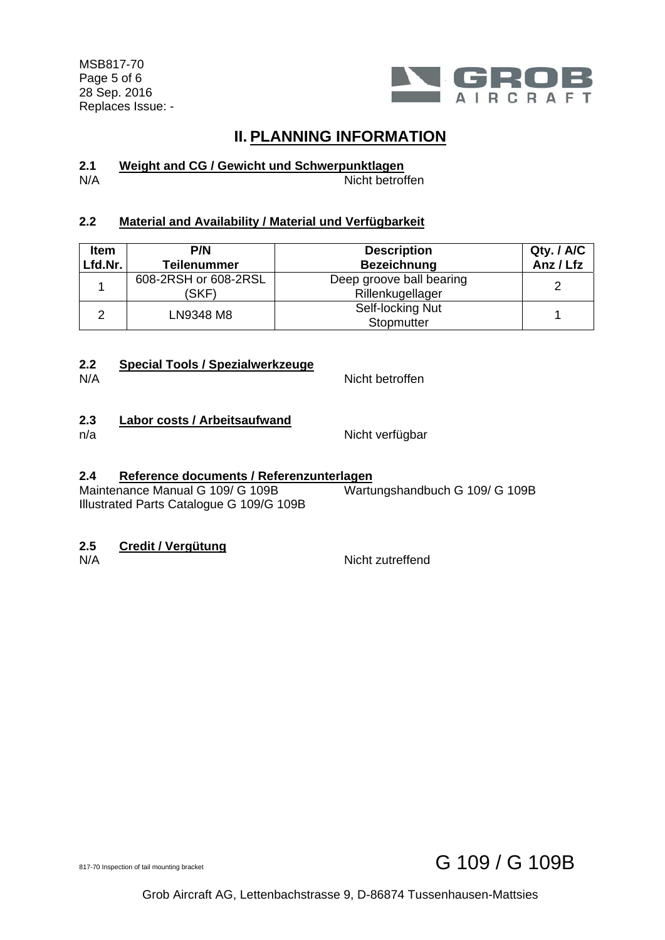MSB817-70 Page 5 of 6 28 Sep. 2016 Replaces Issue: -



### **II. PLANNING INFORMATION**

## **2.1 Weight and CG / Gewicht und Schwerpunktlagen**

Nicht betroffen

#### **2.2 Material and Availability / Material und Verfügbarkeit**

| <b>Item</b><br>Lfd.Nr. | P/N<br><b>Teilenummer</b>     | <b>Description</b><br><b>Bezeichnung</b>     | Qty. / A/C<br>Anz / Lfz |
|------------------------|-------------------------------|----------------------------------------------|-------------------------|
|                        | 608-2RSH or 608-2RSL<br>(SKF) | Deep groove ball bearing<br>Rillenkugellager |                         |
|                        | LN9348 M8                     | Self-locking Nut<br>Stopmutter               |                         |

# **2.2 Special Tools / Spezialwerkzeuge**

Nicht betroffen

# 2.3 **Labor costs / Arbeitsaufwand**<br>n/a

Nicht verfügbar

#### **2.4 Reference documents / Referenzunterlagen**

Maintenance Manual G 109/ G 109B Illustrated Parts Catalogue G 109/G 109B Wartungshandbuch G 109/ G 109B

## **2.5 Credit / Vergütung**

Nicht zutreffend